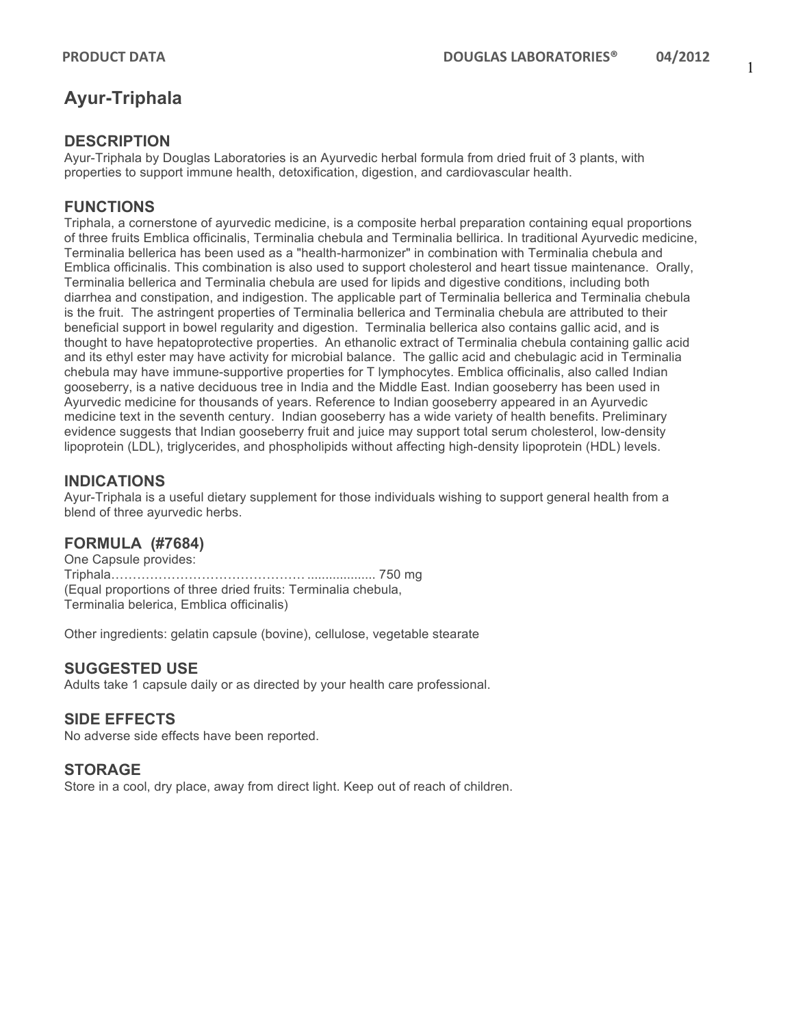# **Ayur-Triphala**

#### **DESCRIPTION**

Ayur-Triphala by Douglas Laboratories is an Ayurvedic herbal formula from dried fruit of 3 plants, with properties to support immune health, detoxification, digestion, and cardiovascular health.

## **FUNCTIONS**

Triphala, a cornerstone of ayurvedic medicine, is a composite herbal preparation containing equal proportions of three fruits Emblica officinalis, Terminalia chebula and Terminalia bellirica. In traditional Ayurvedic medicine, Terminalia bellerica has been used as a "health-harmonizer" in combination with Terminalia chebula and Emblica officinalis. This combination is also used to support cholesterol and heart tissue maintenance. Orally, Terminalia bellerica and Terminalia chebula are used for lipids and digestive conditions, including both diarrhea and constipation, and indigestion. The applicable part of Terminalia bellerica and Terminalia chebula is the fruit. The astringent properties of Terminalia bellerica and Terminalia chebula are attributed to their beneficial support in bowel regularity and digestion. Terminalia bellerica also contains gallic acid, and is thought to have hepatoprotective properties. An ethanolic extract of Terminalia chebula containing gallic acid and its ethyl ester may have activity for microbial balance. The gallic acid and chebulagic acid in Terminalia chebula may have immune-supportive properties for T lymphocytes. Emblica officinalis, also called Indian gooseberry, is a native deciduous tree in India and the Middle East. Indian gooseberry has been used in Ayurvedic medicine for thousands of years. Reference to Indian gooseberry appeared in an Ayurvedic medicine text in the seventh century. Indian gooseberry has a wide variety of health benefits. Preliminary evidence suggests that Indian gooseberry fruit and juice may support total serum cholesterol, low-density lipoprotein (LDL), triglycerides, and phospholipids without affecting high-density lipoprotein (HDL) levels.

#### **INDICATIONS**

Ayur-Triphala is a useful dietary supplement for those individuals wishing to support general health from a blend of three ayurvedic herbs.

#### **FORMULA (#7684)**

One Capsule provides: Triphala……………………………………… ................... 750 mg (Equal proportions of three dried fruits: Terminalia chebula, Terminalia belerica, Emblica officinalis)

Other ingredients: gelatin capsule (bovine), cellulose, vegetable stearate

#### **SUGGESTED USE**

Adults take 1 capsule daily or as directed by your health care professional.

#### **SIDE EFFECTS**

No adverse side effects have been reported.

#### **STORAGE**

Store in a cool, dry place, away from direct light. Keep out of reach of children.